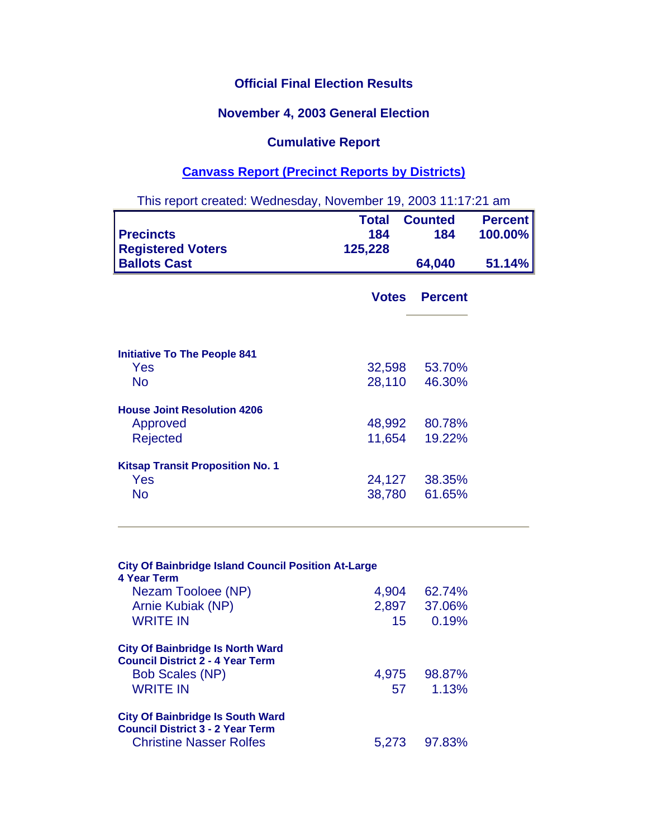## **Official Final Election Results**

## **November 4, 2003 General Election**

## **Cumulative Report**

## **Canvass Report (Precinct Reports by Districts)**

| This report created: Wednesday, November 19, 2003 11:17:21 am     |                                |                         |                           |
|-------------------------------------------------------------------|--------------------------------|-------------------------|---------------------------|
| <b>Precincts</b><br><b>Registered Voters</b>                      | <b>Total</b><br>184<br>125,228 | <b>Counted</b><br>184   | <b>Percent</b><br>100.00% |
| <b>Ballots Cast</b>                                               |                                | 64,040                  | 51.14%                    |
|                                                                   | <b>Votes</b>                   | <b>Percent</b>          |                           |
| <b>Initiative To The People 841</b><br>Yes                        |                                | 32,598 53.70%           |                           |
| <b>No</b>                                                         | 28,110                         | 46.30%                  |                           |
| <b>House Joint Resolution 4206</b><br>Approved<br><b>Rejected</b> | 11,654                         | 48,992 80.78%<br>19.22% |                           |
| <b>Kitsap Transit Proposition No. 1</b><br>Yes<br><b>No</b>       | 24,127<br>38,780               | 38.35%<br>61.65%        |                           |

| <b>City Of Bainbridge Island Council Position At-Large</b><br>4 Year Term          |       |              |
|------------------------------------------------------------------------------------|-------|--------------|
| Nezam Tooloee (NP)                                                                 | 4,904 | 62.74%       |
| Arnie Kubiak (NP)                                                                  |       | 2,897 37.06% |
| <b>WRITE IN</b>                                                                    | 15    | 0.19%        |
| <b>City Of Bainbridge Is North Ward</b><br><b>Council District 2 - 4 Year Term</b> |       |              |
| <b>Bob Scales (NP)</b>                                                             |       | 4,975 98.87% |
| <b>WRITE IN</b>                                                                    | 57    | 1.13%        |
| <b>City Of Bainbridge Is South Ward</b><br><b>Council District 3 - 2 Year Term</b> |       |              |
| <b>Christine Nasser Rolfes</b>                                                     | 5.273 | 97.83%       |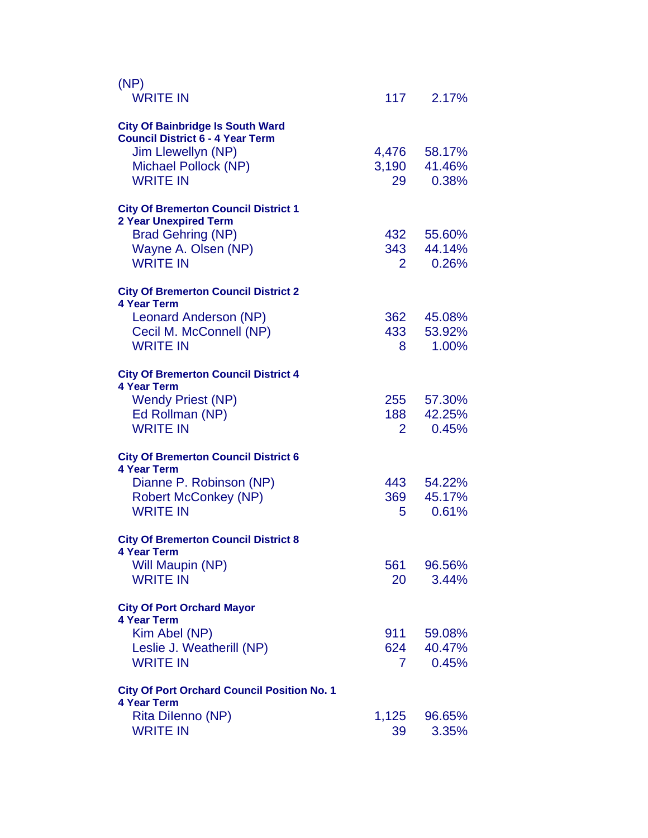| (NP)<br><b>WRITE IN</b>                                                     |                | 117 2.17%       |
|-----------------------------------------------------------------------------|----------------|-----------------|
| <b>City Of Bainbridge Is South Ward</b>                                     |                |                 |
| <b>Council District 6 - 4 Year Term</b>                                     |                |                 |
| Jim Llewellyn (NP)                                                          | 4,476          | 58.17%          |
| Michael Pollock (NP)                                                        | 3,190          | 41.46%          |
| <b>WRITE IN</b>                                                             | 29             | 0.38%           |
| <b>City Of Bremerton Council District 1</b><br><b>2 Year Unexpired Term</b> |                |                 |
| <b>Brad Gehring (NP)</b>                                                    | 432            | 55.60%          |
| Wayne A. Olsen (NP)                                                         | 343            | 44.14%          |
| <b>WRITE IN</b>                                                             | $\overline{2}$ | 0.26%           |
| <b>City Of Bremerton Council District 2</b><br><b>4 Year Term</b>           |                |                 |
| Leonard Anderson (NP)                                                       | 362            | 45.08%          |
| Cecil M. McConnell (NP)                                                     | 433            | 53.92%          |
| <b>WRITE IN</b>                                                             | 8              | 1.00%           |
| <b>City Of Bremerton Council District 4</b><br><b>4 Year Term</b>           |                |                 |
| <b>Wendy Priest (NP)</b>                                                    | 255            | 57.30%          |
| Ed Rollman (NP)                                                             | 188            | 42.25%          |
| <b>WRITE IN</b>                                                             | 2              | 0.45%           |
| <b>City Of Bremerton Council District 6</b><br><b>4 Year Term</b>           |                |                 |
| Dianne P. Robinson (NP)                                                     | 443            | 54.22%          |
| <b>Robert McConkey (NP)</b>                                                 | 369            | 45.17%          |
| <b>WRITE IN</b>                                                             | 5              | 0.61%           |
| <b>City Of Bremerton Council District 8</b>                                 |                |                 |
| 4 Year Term<br>Will Maupin (NP)                                             | 561            |                 |
| <b>WRITE IN</b>                                                             | 20             | 96.56%<br>3.44% |
|                                                                             |                |                 |
| <b>City Of Port Orchard Mayor</b><br><b>4 Year Term</b>                     |                |                 |
| Kim Abel (NP)                                                               | 911            | 59.08%          |
| Leslie J. Weatherill (NP)                                                   | 624            | 40.47%          |
| <b>WRITE IN</b>                                                             | 7              | 0.45%           |
| <b>City Of Port Orchard Council Position No. 1</b><br><b>4 Year Term</b>    |                |                 |
| Rita Dilenno (NP)                                                           | 1,125          | 96.65%          |
| <b>WRITE IN</b>                                                             | 39             | 3.35%           |
|                                                                             |                |                 |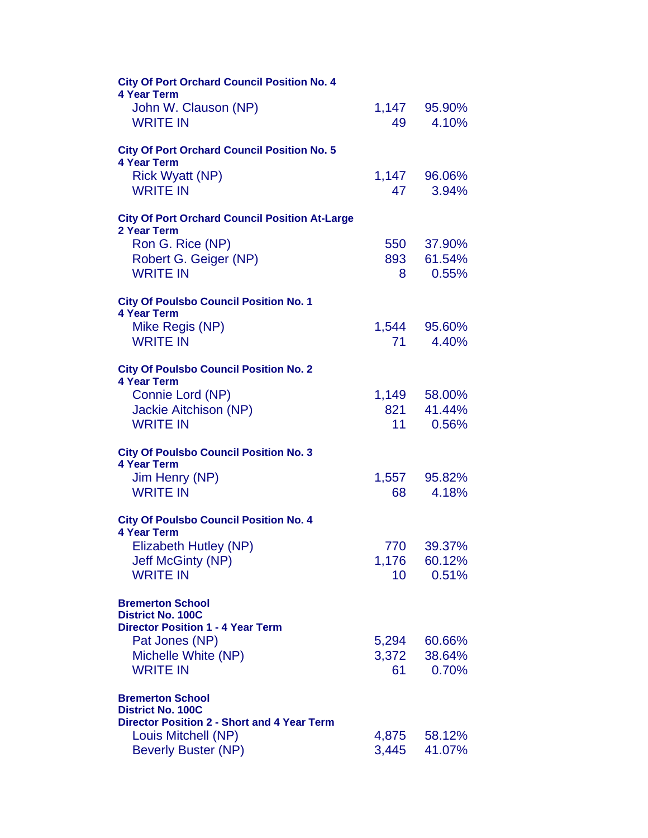| <b>City Of Port Orchard Council Position No. 4</b><br><b>4 Year Term</b> |        |              |
|--------------------------------------------------------------------------|--------|--------------|
| John W. Clauson (NP)                                                     |        | 1,147 95.90% |
| <b>WRITE IN</b>                                                          | 49     | 4.10%        |
| <b>City Of Port Orchard Council Position No. 5</b><br><b>4 Year Term</b> |        |              |
| <b>Rick Wyatt (NP)</b>                                                   | 1,147  | 96.06%       |
| <b>WRITE IN</b>                                                          | 47     | 3.94%        |
| <b>City Of Port Orchard Council Position At-Large</b>                    |        |              |
| 2 Year Term<br>Ron G. Rice (NP)                                          | 550    | 37.90%       |
| Robert G. Geiger (NP)                                                    | 893    | 61.54%       |
| <b>WRITE IN</b>                                                          | 8 -    | 0.55%        |
| <b>City Of Poulsbo Council Position No. 1</b><br><b>4 Year Term</b>      |        |              |
| Mike Regis (NP)                                                          | 1,544  | 95.60%       |
| <b>WRITE IN</b>                                                          | 71     | 4.40%        |
| <b>City Of Poulsbo Council Position No. 2</b><br><b>4 Year Term</b>      |        |              |
| Connie Lord (NP)                                                         |        | 1,149 58.00% |
| <b>Jackie Aitchison (NP)</b>                                             |        | 821 41.44%   |
| <b>WRITE IN</b>                                                          | $11 -$ | 0.56%        |
| <b>City Of Poulsbo Council Position No. 3</b><br><b>4 Year Term</b>      |        |              |
| Jim Henry (NP)                                                           |        | 1,557 95.82% |
| <b>WRITE IN</b>                                                          | 68     | 4.18%        |
| <b>City Of Poulsbo Council Position No. 4</b><br><b>4 Year Term</b>      |        |              |
| Elizabeth Hutley (NP)                                                    | 770    | 39.37%       |
| <b>Jeff McGinty (NP)</b>                                                 | 1,176  | 60.12%       |
| <b>WRITE IN</b>                                                          | 10     | 0.51%        |
| <b>Bremerton School</b><br><b>District No. 100C</b>                      |        |              |
| <b>Director Position 1 - 4 Year Term</b>                                 |        |              |
| Pat Jones (NP)                                                           | 5,294  | 60.66%       |
| Michelle White (NP)                                                      | 3,372  | 38.64%       |
| <b>WRITE IN</b>                                                          | 61     | 0.70%        |
| <b>Bremerton School</b><br><b>District No. 100C</b>                      |        |              |
| <b>Director Position 2 - Short and 4 Year Term</b>                       |        |              |
| Louis Mitchell (NP)                                                      | 4,875  | 58.12%       |
| <b>Beverly Buster (NP)</b>                                               | 3,445  | 41.07%       |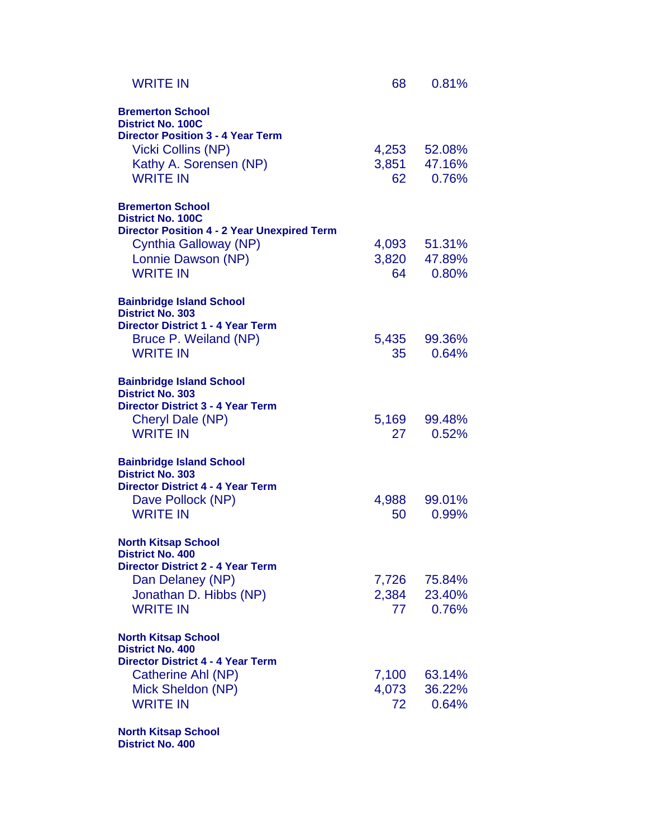| <b>WRITE IN</b>                                                                                                                                                           | 68                   | 0.81%                                 |
|---------------------------------------------------------------------------------------------------------------------------------------------------------------------------|----------------------|---------------------------------------|
| <b>Bremerton School</b><br><b>District No. 100C</b><br><b>Director Position 3 - 4 Year Term</b><br><b>Vicki Collins (NP)</b><br>Kathy A. Sorensen (NP)<br><b>WRITE IN</b> | 62                   | 4,253 52.08%<br>3,851 47.16%<br>0.76% |
| <b>Bremerton School</b><br><b>District No. 100C</b>                                                                                                                       |                      |                                       |
| <b>Director Position 4 - 2 Year Unexpired Term</b><br>Cynthia Galloway (NP)<br>Lonnie Dawson (NP)<br><b>WRITE IN</b>                                                      | 64                   | 4,093 51.31%<br>3,820 47.89%<br>0.80% |
| <b>Bainbridge Island School</b><br><b>District No. 303</b>                                                                                                                |                      |                                       |
| <b>Director District 1 - 4 Year Term</b><br>Bruce P. Weiland (NP)<br><b>WRITE IN</b>                                                                                      | 5,435<br>35          | 99.36%<br>0.64%                       |
| <b>Bainbridge Island School</b><br><b>District No. 303</b>                                                                                                                |                      |                                       |
| <b>Director District 3 - 4 Year Term</b><br>Cheryl Dale (NP)<br><b>WRITE IN</b>                                                                                           | 5,169<br>27          | 99.48%<br>0.52%                       |
| <b>Bainbridge Island School</b><br><b>District No. 303</b>                                                                                                                |                      |                                       |
| <b>Director District 4 - 4 Year Term</b><br>Dave Pollock (NP)<br><b>WRITE IN</b>                                                                                          | 4,988<br>50          | 99.01%<br>0.99%                       |
| <b>North Kitsap School</b><br><b>District No. 400</b>                                                                                                                     |                      |                                       |
| <b>Director District 2 - 4 Year Term</b><br>Dan Delaney (NP)<br>Jonathan D. Hibbs (NP)<br><b>WRITE IN</b>                                                                 | 7,726<br>77          | 75.84%<br>2,384 23.40%<br>0.76%       |
| <b>North Kitsap School</b><br><b>District No. 400</b>                                                                                                                     |                      |                                       |
| <b>Director District 4 - 4 Year Term</b><br>Catherine Ahl (NP)<br>Mick Sheldon (NP)<br><b>WRITE IN</b>                                                                    | 7,100<br>4,073<br>72 | 63.14%<br>36.22%<br>0.64%             |
| <b>North Kitsap School</b>                                                                                                                                                |                      |                                       |

**District No. 400**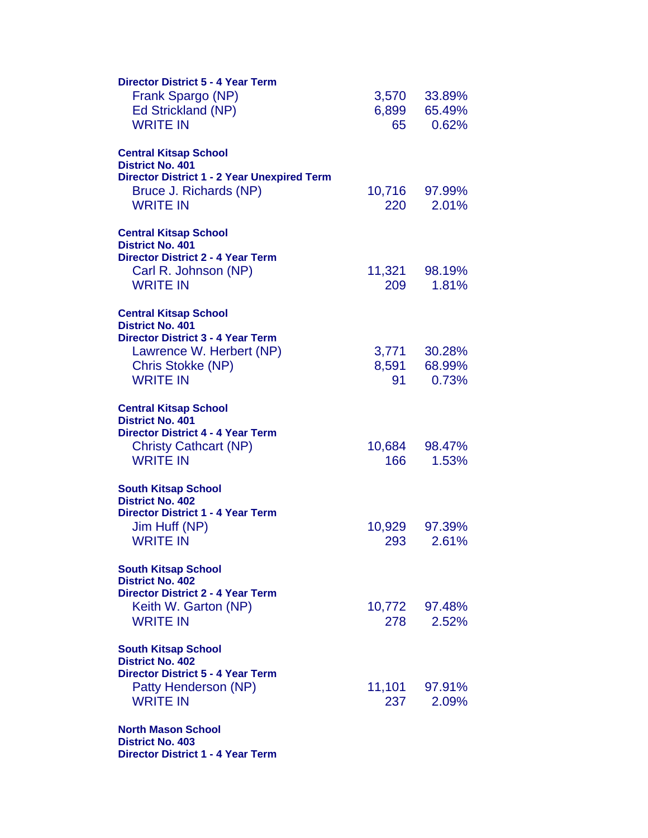| <b>Director District 5 - 4 Year Term</b><br>Frank Spargo (NP)<br>Ed Strickland (NP)<br><b>WRITE IN</b>                                                                  | 3,570<br>6,899<br>65 | 33.89%<br>65.49%<br>0.62% |
|-------------------------------------------------------------------------------------------------------------------------------------------------------------------------|----------------------|---------------------------|
| <b>Central Kitsap School</b><br><b>District No. 401</b><br><b>Director District 1 - 2 Year Unexpired Term</b><br>Bruce J. Richards (NP)<br><b>WRITE IN</b>              | 220                  | 10,716 97.99%<br>2.01%    |
| <b>Central Kitsap School</b><br><b>District No. 401</b><br><b>Director District 2 - 4 Year Term</b><br>Carl R. Johnson (NP)<br><b>WRITE IN</b>                          | 209                  | 11,321 98.19%<br>1.81%    |
| <b>Central Kitsap School</b><br><b>District No. 401</b><br><b>Director District 3 - 4 Year Term</b><br>Lawrence W. Herbert (NP)<br>Chris Stokke (NP)<br><b>WRITE IN</b> | 3,771<br>8,591<br>91 | 30.28%<br>68.99%<br>0.73% |
| <b>Central Kitsap School</b><br><b>District No. 401</b><br><b>Director District 4 - 4 Year Term</b><br><b>Christy Cathcart (NP)</b><br><b>WRITE IN</b>                  | 10,684<br>166        | 98.47%<br>1.53%           |
| <b>South Kitsap School</b><br><b>District No. 402</b><br><b>Director District 1 - 4 Year Term</b><br>Jim Huff (NP)<br><b>WRITE IN</b>                                   | 293                  | 10,929 97.39%<br>2.61%    |
| <b>South Kitsap School</b><br><b>District No. 402</b><br><b>Director District 2 - 4 Year Term</b><br>Keith W. Garton (NP)<br><b>WRITE IN</b>                            | 278                  | 10,772 97.48%<br>2.52%    |
| <b>South Kitsap School</b><br><b>District No. 402</b><br><b>Director District 5 - 4 Year Term</b><br>Patty Henderson (NP)<br><b>WRITE IN</b>                            | 237                  | 11,101 97.91%<br>2.09%    |
| <b>North Mason School</b><br><b>District No. 403</b><br><b>Director District 1 - 4 Year Term</b>                                                                        |                      |                           |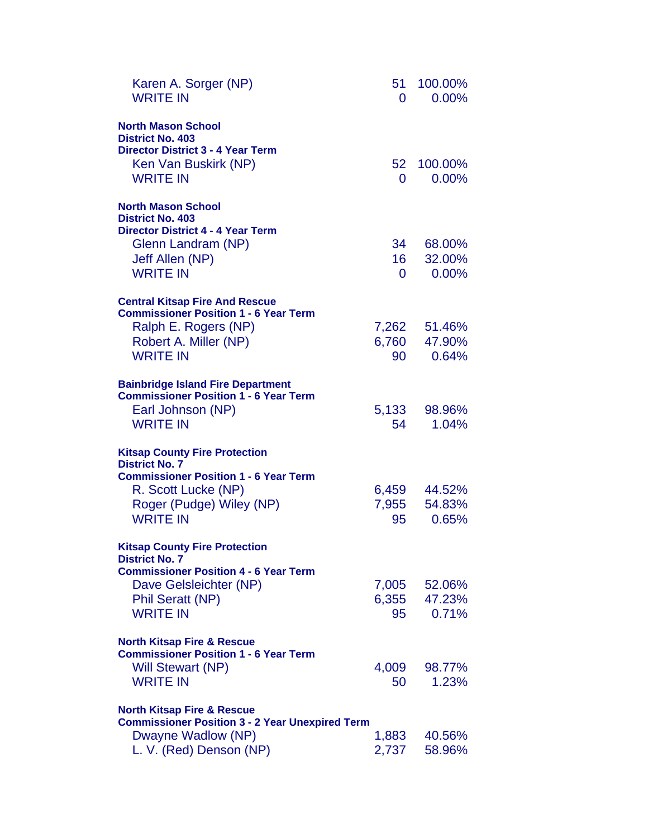| Karen A. Sorger (NP)<br><b>WRITE IN</b>                                                                                  | 51<br>O         | 100.00%<br>$0.00\%$ |
|--------------------------------------------------------------------------------------------------------------------------|-----------------|---------------------|
| <b>North Mason School</b><br><b>District No. 403</b><br><b>Director District 3 - 4 Year Term</b><br>Ken Van Buskirk (NP) | 52 <sub>2</sub> | 100.00%             |
| <b>WRITE IN</b>                                                                                                          | 0               | $0.00\%$            |
| <b>North Mason School</b><br><b>District No. 403</b><br><b>Director District 4 - 4 Year Term</b>                         |                 |                     |
| Glenn Landram (NP)                                                                                                       | 34              | 68.00%              |
| Jeff Allen (NP)                                                                                                          | 16              | 32.00%              |
| <b>WRITE IN</b>                                                                                                          | 0               | 0.00%               |
| <b>Central Kitsap Fire And Rescue</b><br><b>Commissioner Position 1 - 6 Year Term</b>                                    |                 |                     |
| Ralph E. Rogers (NP)                                                                                                     | 7,262           | 51.46%              |
| Robert A. Miller (NP)                                                                                                    | 6,760           | 47.90%              |
| <b>WRITE IN</b>                                                                                                          | 90 —            | 0.64%               |
|                                                                                                                          |                 |                     |
| <b>Bainbridge Island Fire Department</b><br><b>Commissioner Position 1 - 6 Year Term</b>                                 |                 |                     |
| Earl Johnson (NP)                                                                                                        | 5,133           | 98.96%              |
| <b>WRITE IN</b>                                                                                                          | 54              | 1.04%               |
|                                                                                                                          |                 |                     |
| <b>Kitsap County Fire Protection</b>                                                                                     |                 |                     |
| <b>District No. 7</b>                                                                                                    |                 |                     |
| <b>Commissioner Position 1 - 6 Year Term</b><br>R. Scott Lucke (NP)                                                      | 6,459           | 44.52%              |
| Roger (Pudge) Wiley (NP)                                                                                                 | 7,955           | 54.83%              |
| <b>WRITE IN</b>                                                                                                          | 95              | 0.65%               |
|                                                                                                                          |                 |                     |
| <b>Kitsap County Fire Protection</b><br><b>District No. 7</b>                                                            |                 |                     |
| <b>Commissioner Position 4 - 6 Year Term</b>                                                                             |                 |                     |
| Dave Gelsleichter (NP)                                                                                                   | 7,005           | 52.06%              |
| <b>Phil Seratt (NP)</b>                                                                                                  | 6,355           | 47.23%              |
| <b>WRITE IN</b>                                                                                                          | 95              | 0.71%               |
|                                                                                                                          |                 |                     |
| <b>North Kitsap Fire &amp; Rescue</b><br><b>Commissioner Position 1 - 6 Year Term</b>                                    |                 |                     |
| Will Stewart (NP)                                                                                                        | 4,009           | 98.77%              |
| <b>WRITE IN</b>                                                                                                          | 50              | 1.23%               |
|                                                                                                                          |                 |                     |
| <b>North Kitsap Fire &amp; Rescue</b><br><b>Commissioner Position 3 - 2 Year Unexpired Term</b>                          |                 |                     |
| Dwayne Wadlow (NP)                                                                                                       | 1,883           | 40.56%              |
| L. V. (Red) Denson (NP)                                                                                                  | 2,737           | 58.96%              |
|                                                                                                                          |                 |                     |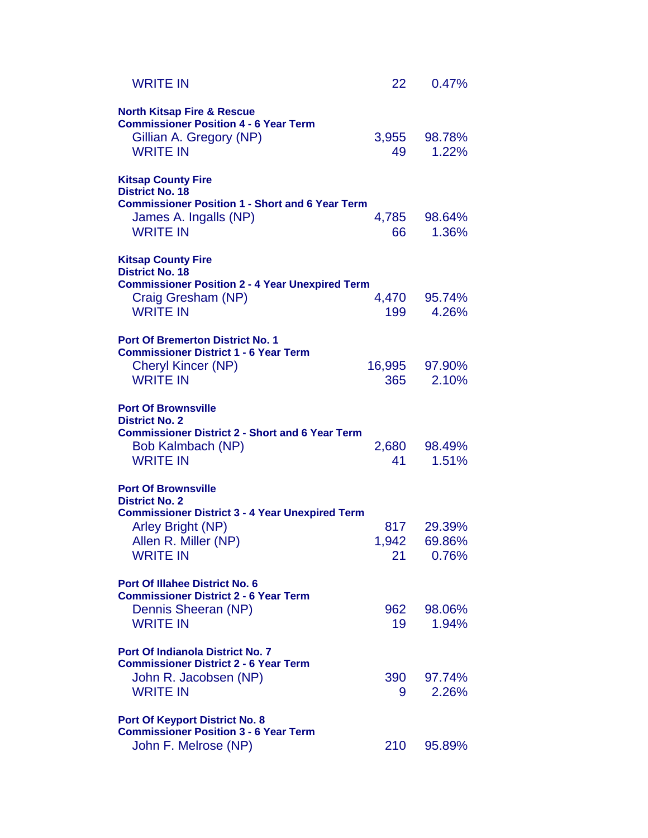| <b>WRITE IN</b>                                                                                                                     | 22          | 0.47%                 |
|-------------------------------------------------------------------------------------------------------------------------------------|-------------|-----------------------|
| <b>North Kitsap Fire &amp; Rescue</b><br><b>Commissioner Position 4 - 6 Year Term</b><br>Gillian A. Gregory (NP)<br><b>WRITE IN</b> | 49          | 3,955 98.78%<br>1.22% |
| <b>Kitsap County Fire</b>                                                                                                           |             |                       |
| <b>District No. 18</b><br><b>Commissioner Position 1 - Short and 6 Year Term</b><br>James A. Ingalls (NP)<br><b>WRITE IN</b>        | 4,785<br>66 | 98.64%<br>1.36%       |
| <b>Kitsap County Fire</b>                                                                                                           |             |                       |
| <b>District No. 18</b><br><b>Commissioner Position 2 - 4 Year Unexpired Term</b>                                                    |             |                       |
| Craig Gresham (NP)<br><b>WRITE IN</b>                                                                                               | 199         | 4,470 95.74%<br>4.26% |
|                                                                                                                                     |             |                       |
| <b>Port Of Bremerton District No. 1</b><br><b>Commissioner District 1 - 6 Year Term</b>                                             |             |                       |
| <b>Cheryl Kincer (NP)</b>                                                                                                           |             | 16,995 97.90%         |
| <b>WRITE IN</b>                                                                                                                     | 365         | 2.10%                 |
| <b>Port Of Brownsville</b>                                                                                                          |             |                       |
| <b>District No. 2</b><br><b>Commissioner District 2 - Short and 6 Year Term</b>                                                     |             |                       |
| Bob Kalmbach (NP)                                                                                                                   | 2,680       | 98.49%                |
| <b>WRITE IN</b>                                                                                                                     | 41          | 1.51%                 |
| <b>Port Of Brownsville</b>                                                                                                          |             |                       |
| <b>District No. 2</b><br><b>Commissioner District 3 - 4 Year Unexpired Term</b>                                                     |             |                       |
| Arley Bright (NP)                                                                                                                   | 817         | 29.39%                |
| Allen R. Miller (NP)<br><b>WRITE IN</b>                                                                                             | 1,942<br>21 | 69.86%<br>0.76%       |
|                                                                                                                                     |             |                       |
| <b>Port Of Illahee District No. 6</b><br><b>Commissioner District 2 - 6 Year Term</b>                                               |             |                       |
| Dennis Sheeran (NP)                                                                                                                 | 962         | 98.06%                |
| <b>WRITE IN</b>                                                                                                                     | 19          | 1.94%                 |
| <b>Port Of Indianola District No. 7</b>                                                                                             |             |                       |
| <b>Commissioner District 2 - 6 Year Term</b><br>John R. Jacobsen (NP)                                                               | 390         | 97.74%                |
| <b>WRITE IN</b>                                                                                                                     | 9           | 2.26%                 |
| <b>Port Of Keyport District No. 8</b>                                                                                               |             |                       |
| <b>Commissioner Position 3 - 6 Year Term</b>                                                                                        |             |                       |
| John F. Melrose (NP)                                                                                                                | 210         | 95.89%                |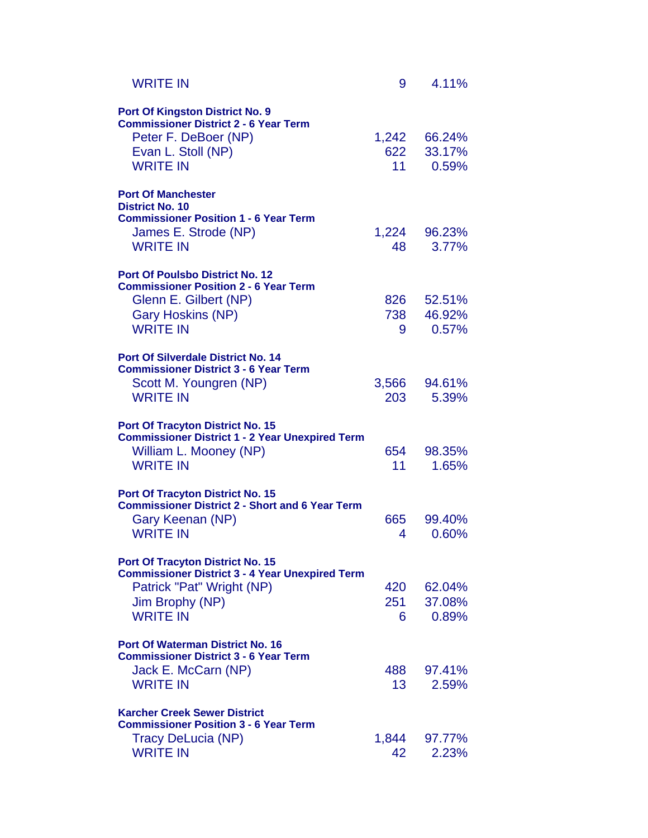| <b>WRITE IN</b>                                                                                                                                                      | 9                      | 4.11%                     |
|----------------------------------------------------------------------------------------------------------------------------------------------------------------------|------------------------|---------------------------|
| <b>Port Of Kingston District No. 9</b><br><b>Commissioner District 2 - 6 Year Term</b><br>Peter F. DeBoer (NP)<br>Evan L. Stoll (NP)<br><b>WRITE IN</b>              | 1,242<br>622<br>11     | 66.24%<br>33.17%<br>0.59% |
| <b>Port Of Manchester</b><br><b>District No. 10</b><br><b>Commissioner Position 1 - 6 Year Term</b><br>James E. Strode (NP)<br><b>WRITE IN</b>                       | 48                     | 1,224 96.23%<br>3.77%     |
| <b>Port Of Poulsbo District No. 12</b><br><b>Commissioner Position 2 - 6 Year Term</b><br>Glenn E. Gilbert (NP)<br>Gary Hoskins (NP)<br><b>WRITE IN</b>              | 826<br>738<br>9        | 52.51%<br>46.92%<br>0.57% |
| <b>Port Of Silverdale District No. 14</b><br><b>Commissioner District 3 - 6 Year Term</b><br>Scott M. Youngren (NP)<br><b>WRITE IN</b>                               | 3,566<br>203           | 94.61%<br>5.39%           |
| <b>Port Of Tracyton District No. 15</b><br><b>Commissioner District 1 - 2 Year Unexpired Term</b><br>William L. Mooney (NP)<br><b>WRITE IN</b>                       | 654<br>11              | 98.35%<br>1.65%           |
| <b>Port Of Tracyton District No. 15</b><br><b>Commissioner District 2 - Short and 6 Year Term</b><br>Gary Keenan (NP)<br><b>WRITE IN</b>                             | 665<br>4               | 99.40%<br>0.60%           |
| <b>Port Of Tracyton District No. 15</b><br><b>Commissioner District 3 - 4 Year Unexpired Term</b><br>Patrick "Pat" Wright (NP)<br>Jim Brophy (NP)<br><b>WRITE IN</b> | 420<br>251<br>6        | 62.04%<br>37.08%<br>0.89% |
| <b>Port Of Waterman District No. 16</b><br><b>Commissioner District 3 - 6 Year Term</b><br>Jack E. McCarn (NP)<br><b>WRITE IN</b>                                    | 488<br>13 <sup>7</sup> | 97.41%<br>2.59%           |
| <b>Karcher Creek Sewer District</b><br><b>Commissioner Position 3 - 6 Year Term</b><br>Tracy DeLucia (NP)<br><b>WRITE IN</b>                                         | 1,844<br>42            | 97.77%<br>2.23%           |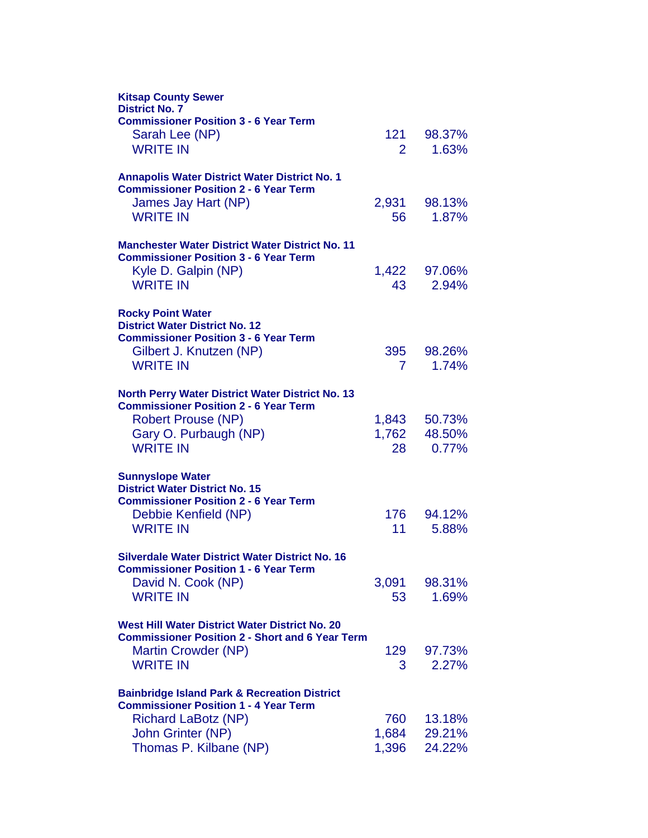| <b>Kitsap County Sewer</b><br><b>District No. 7</b>                                   |                |                  |
|---------------------------------------------------------------------------------------|----------------|------------------|
| <b>Commissioner Position 3 - 6 Year Term</b>                                          |                |                  |
| Sarah Lee (NP)                                                                        | 121            | 98.37%           |
| <b>WRITE IN</b>                                                                       | $\overline{2}$ | 1.63%            |
| <b>Annapolis Water District Water District No. 1</b>                                  |                |                  |
| <b>Commissioner Position 2 - 6 Year Term</b>                                          |                |                  |
| James Jay Hart (NP)<br><b>WRITE IN</b>                                                | 2,931<br>56    | 98.13%           |
|                                                                                       |                | 1.87%            |
| <b>Manchester Water District Water District No. 11</b>                                |                |                  |
| <b>Commissioner Position 3 - 6 Year Term</b>                                          |                |                  |
| Kyle D. Galpin (NP)<br><b>WRITE IN</b>                                                | 1,422          | 97.06%           |
|                                                                                       | 43             | 2.94%            |
| <b>Rocky Point Water</b>                                                              |                |                  |
| <b>District Water District No. 12</b><br><b>Commissioner Position 3 - 6 Year Term</b> |                |                  |
| Gilbert J. Knutzen (NP)                                                               | 395            | 98.26%           |
| <b>WRITE IN</b>                                                                       | 7              | 1.74%            |
|                                                                                       |                |                  |
| North Perry Water District Water District No. 13                                      |                |                  |
| <b>Commissioner Position 2 - 6 Year Term</b>                                          |                | 50.73%           |
| <b>Robert Prouse (NP)</b>                                                             | 1,843<br>1,762 | 48.50%           |
| Gary O. Purbaugh (NP)<br><b>WRITE IN</b>                                              | 28             | 0.77%            |
|                                                                                       |                |                  |
| <b>Sunnyslope Water</b>                                                               |                |                  |
| <b>District Water District No. 15</b><br><b>Commissioner Position 2 - 6 Year Term</b> |                |                  |
| Debbie Kenfield (NP)                                                                  | 176            | 94.12%           |
| <b>WRITE IN</b>                                                                       | 11             | 5.88%            |
|                                                                                       |                |                  |
| Silverdale Water District Water District No. 16                                       |                |                  |
| Commissioner Position 1 - 6 Year Term<br>David N. Cook (NP)                           | 3,091          | 98.31%           |
| <b>WRITE IN</b>                                                                       | 53             | 1.69%            |
|                                                                                       |                |                  |
| West Hill Water District Water District No. 20                                        |                |                  |
| <b>Commissioner Position 2 - Short and 6 Year Term</b>                                |                |                  |
| Martin Crowder (NP)<br><b>WRITE IN</b>                                                | 129<br>3       | 97.73%<br>2.27%  |
|                                                                                       |                |                  |
| <b>Bainbridge Island Park &amp; Recreation District</b>                               |                |                  |
| <b>Commissioner Position 1 - 4 Year Term</b>                                          |                |                  |
| <b>Richard LaBotz (NP)</b>                                                            | 760            | 13.18%           |
| John Grinter (NP)                                                                     | 1,684          | 29.21%<br>24.22% |
| Thomas P. Kilbane (NP)                                                                | 1,396          |                  |